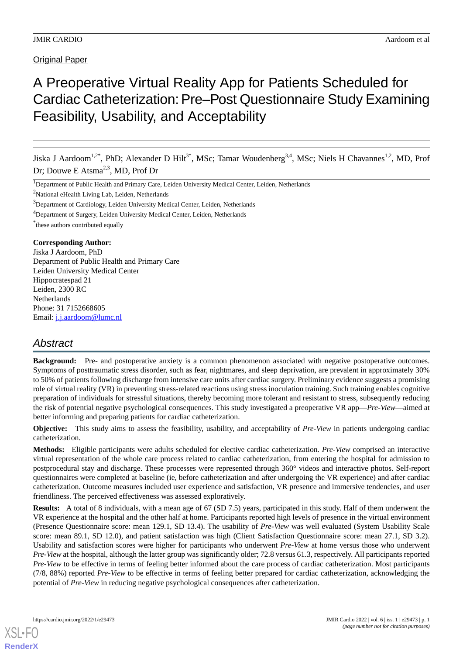# A Preoperative Virtual Reality App for Patients Scheduled for Cardiac Catheterization: Pre–Post Questionnaire Study Examining Feasibility, Usability, and Acceptability

Jiska J Aardoom<sup>1,2\*</sup>, PhD; Alexander D Hilt<sup>3\*</sup>, MSc; Tamar Woudenberg<sup>3,4</sup>, MSc; Niels H Chavannes<sup>1,2</sup>, MD, Prof Dr; Douwe E Atsma<sup>2,3</sup>, MD, Prof Dr

 $2$ National eHealth Living Lab, Leiden, Netherlands

<sup>4</sup>Department of Surgery, Leiden University Medical Center, Leiden, Netherlands

\* these authors contributed equally

#### **Corresponding Author:**

Jiska J Aardoom, PhD Department of Public Health and Primary Care Leiden University Medical Center Hippocratespad 21 Leiden, 2300 RC Netherlands Phone: 31 7152668605 Email: [j.j.aardoom@lumc.nl](mailto:j.j.aardoom@lumc.nl)

# *Abstract*

**Background:** Pre- and postoperative anxiety is a common phenomenon associated with negative postoperative outcomes. Symptoms of posttraumatic stress disorder, such as fear, nightmares, and sleep deprivation, are prevalent in approximately 30% to 50% of patients following discharge from intensive care units after cardiac surgery. Preliminary evidence suggests a promising role of virtual reality (VR) in preventing stress-related reactions using stress inoculation training. Such training enables cognitive preparation of individuals for stressful situations, thereby becoming more tolerant and resistant to stress, subsequently reducing the risk of potential negative psychological consequences. This study investigated a preoperative VR app—*Pre-View*—aimed at better informing and preparing patients for cardiac catheterization.

**Objective:** This study aims to assess the feasibility, usability, and acceptability of *Pre-View* in patients undergoing cardiac catheterization.

**Methods:** Eligible participants were adults scheduled for elective cardiac catheterization. *Pre-View* comprised an interactive virtual representation of the whole care process related to cardiac catheterization, from entering the hospital for admission to postprocedural stay and discharge. These processes were represented through 360° videos and interactive photos. Self-report questionnaires were completed at baseline (ie, before catheterization and after undergoing the VR experience) and after cardiac catheterization. Outcome measures included user experience and satisfaction, VR presence and immersive tendencies, and user friendliness. The perceived effectiveness was assessed exploratively.

**Results:** A total of 8 individuals, with a mean age of 67 (SD 7.5) years, participated in this study. Half of them underwent the VR experience at the hospital and the other half at home. Participants reported high levels of presence in the virtual environment (Presence Questionnaire score: mean 129.1, SD 13.4). The usability of *Pre-View* was well evaluated (System Usability Scale score: mean 89.1, SD 12.0), and patient satisfaction was high (Client Satisfaction Questionnaire score: mean 27.1, SD 3.2). Usability and satisfaction scores were higher for participants who underwent *Pre-View* at home versus those who underwent *Pre-View* at the hospital, although the latter group was significantly older; 72.8 versus 61.3, respectively. All participants reported *Pre-View* to be effective in terms of feeling better informed about the care process of cardiac catheterization. Most participants (7/8, 88%) reported *Pre-View* to be effective in terms of feeling better prepared for cardiac catheterization, acknowledging the potential of *Pre-View* in reducing negative psychological consequences after catheterization.

<sup>&</sup>lt;sup>1</sup>Department of Public Health and Primary Care, Leiden University Medical Center, Leiden, Netherlands

<sup>&</sup>lt;sup>3</sup>Department of Cardiology, Leiden University Medical Center, Leiden, Netherlands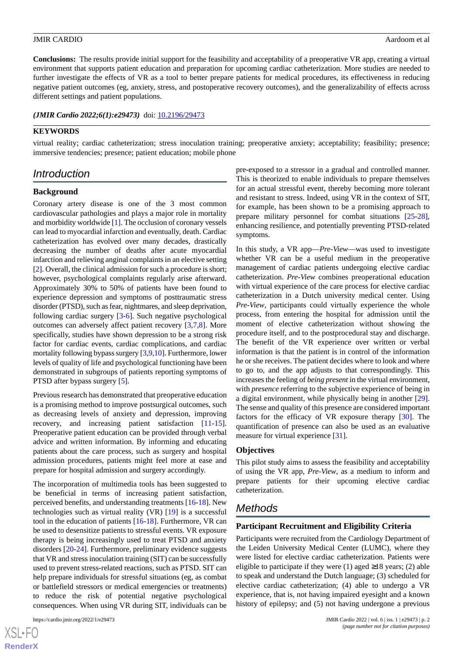**Conclusions:** The results provide initial support for the feasibility and acceptability of a preoperative VR app, creating a virtual environment that supports patient education and preparation for upcoming cardiac catheterization. More studies are needed to further investigate the effects of VR as a tool to better prepare patients for medical procedures, its effectiveness in reducing negative patient outcomes (eg, anxiety, stress, and postoperative recovery outcomes), and the generalizability of effects across different settings and patient populations.

*(JMIR Cardio 2022;6(1):e29473)* doi: [10.2196/29473](http://dx.doi.org/10.2196/29473)

### **KEYWORDS**

virtual reality; cardiac catheterization; stress inoculation training; preoperative anxiety; acceptability; feasibility; presence; immersive tendencies; presence; patient education; mobile phone

### *Introduction*

#### **Background**

Coronary artery disease is one of the 3 most common cardiovascular pathologies and plays a major role in mortality and morbidity worldwide [\[1\]](#page-8-0). The occlusion of coronary vessels can lead to myocardial infarction and eventually, death. Cardiac catheterization has evolved over many decades, drastically decreasing the number of deaths after acute myocardial infarction and relieving anginal complaints in an elective setting [[2\]](#page-8-1). Overall, the clinical admission for such a procedure is short; however, psychological complaints regularly arise afterward. Approximately 30% to 50% of patients have been found to experience depression and symptoms of posttraumatic stress disorder (PTSD), such as fear, nightmares, and sleep deprivation, following cardiac surgery [\[3](#page-8-2)-[6\]](#page-8-3). Such negative psychological outcomes can adversely affect patient recovery [[3](#page-8-2)[,7](#page-8-4),[8\]](#page-8-5). More specifically, studies have shown depression to be a strong risk factor for cardiac events, cardiac complications, and cardiac mortality following bypass surgery [[3,](#page-8-2)[9](#page-9-0)[,10](#page-9-1)]. Furthermore, lower levels of quality of life and psychological functioning have been demonstrated in subgroups of patients reporting symptoms of PTSD after bypass surgery [[5\]](#page-8-6).

Previous research has demonstrated that preoperative education is a promising method to improve postsurgical outcomes, such as decreasing levels of anxiety and depression, improving recovery, and increasing patient satisfaction [\[11](#page-9-2)-[15\]](#page-9-3). Preoperative patient education can be provided through verbal advice and written information. By informing and educating patients about the care process, such as surgery and hospital admission procedures, patients might feel more at ease and prepare for hospital admission and surgery accordingly.

The incorporation of multimedia tools has been suggested to be beneficial in terms of increasing patient satisfaction, perceived benefits, and understanding treatments [[16-](#page-9-4)[18](#page-9-5)]. New technologies such as virtual reality (VR) [[19\]](#page-9-6) is a successful tool in the education of patients [[16-](#page-9-4)[18](#page-9-5)]. Furthermore, VR can be used to desensitize patients to stressful events. VR exposure therapy is being increasingly used to treat PTSD and anxiety disorders [[20](#page-9-7)[-24](#page-9-8)]. Furthermore, preliminary evidence suggests that VR and stress inoculation training (SIT) can be successfully used to prevent stress-related reactions, such as PTSD. SIT can help prepare individuals for stressful situations (eg, as combat or battlefield stressors or medical emergencies or treatments) to reduce the risk of potential negative psychological consequences. When using VR during SIT, individuals can be

pre-exposed to a stressor in a gradual and controlled manner. This is theorized to enable individuals to prepare themselves for an actual stressful event, thereby becoming more tolerant and resistant to stress. Indeed, using VR in the context of SIT, for example, has been shown to be a promising approach to prepare military personnel for combat situations [[25-](#page-9-9)[28\]](#page-9-10), enhancing resilience, and potentially preventing PTSD-related symptoms.

In this study, a VR app—*Pre-View*—was used to investigate whether VR can be a useful medium in the preoperative management of cardiac patients undergoing elective cardiac catheterization. *Pre-View* combines preoperational education with virtual experience of the care process for elective cardiac catheterization in a Dutch university medical center. Using *Pre-View*, participants could virtually experience the whole process, from entering the hospital for admission until the moment of elective catheterization without showing the procedure itself, and to the postprocedural stay and discharge. The benefit of the VR experience over written or verbal information is that the patient is in control of the information he or she receives. The patient decides where to look and where to go to, and the app adjusts to that correspondingly. This increases the feeling of *being present*in the virtual environment, with *presence* referring to the subjective experience of being in a digital environment, while physically being in another [[29\]](#page-9-11). The sense and quality of this presence are considered important factors for the efficacy of VR exposure therapy [\[30](#page-9-12)]. The quantification of presence can also be used as an evaluative measure for virtual experience [\[31](#page-9-13)].

### **Objectives**

This pilot study aims to assess the feasibility and acceptability of using the VR app, *Pre-View*, as a medium to inform and prepare patients for their upcoming elective cardiac catheterization.

# *Methods*

#### **Participant Recruitment and Eligibility Criteria**

Participants were recruited from the Cardiology Department of the Leiden University Medical Center (LUMC), where they were listed for elective cardiac catheterization. Patients were eligible to participate if they were (1) aged  $\geq$ 18 years; (2) able to speak and understand the Dutch language; (3) scheduled for elective cardiac catheterization; (4) able to undergo a VR experience, that is, not having impaired eyesight and a known history of epilepsy; and  $(5)$  not having undergone a previous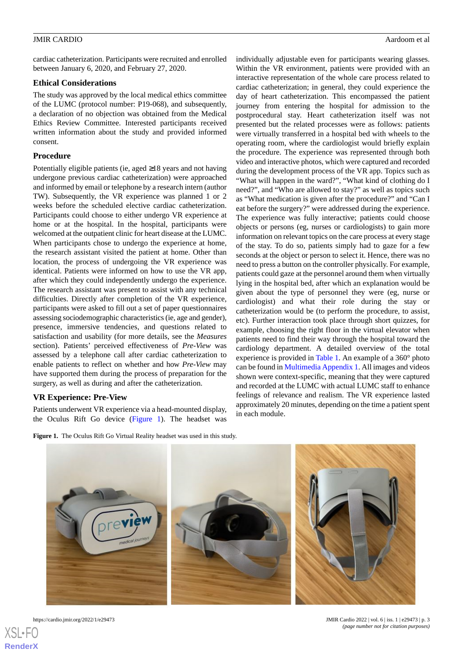cardiac catheterization. Participants were recruited and enrolled between January 6, 2020, and February 27, 2020.

### **Ethical Considerations**

The study was approved by the local medical ethics committee of the LUMC (protocol number: P19-068), and subsequently, a declaration of no objection was obtained from the Medical Ethics Review Committee. Interested participants received written information about the study and provided informed consent.

#### **Procedure**

Potentially eligible patients (ie, aged ≥18 years and not having undergone previous cardiac catheterization) were approached and informed by email or telephone by a research intern (author TW). Subsequently, the VR experience was planned 1 or 2 weeks before the scheduled elective cardiac catheterization. Participants could choose to either undergo VR experience at home or at the hospital. In the hospital, participants were welcomed at the outpatient clinic for heart disease at the LUMC. When participants chose to undergo the experience at home, the research assistant visited the patient at home. Other than location, the process of undergoing the VR experience was identical. Patients were informed on how to use the VR app, after which they could independently undergo the experience. The research assistant was present to assist with any technical difficulties. Directly after completion of the VR experience, participants were asked to fill out a set of paper questionnaires assessing sociodemographic characteristics (ie, age and gender), presence, immersive tendencies, and questions related to satisfaction and usability (for more details, see the *Measures* section). Patients' perceived effectiveness of *Pre-View* was assessed by a telephone call after cardiac catheterization to enable patients to reflect on whether and how *Pre-View* may have supported them during the process of preparation for the surgery, as well as during and after the catheterization.

#### <span id="page-2-0"></span>**VR Experience: Pre-View**

Patients underwent VR experience via a head-mounted display, the Oculus Rift Go device ([Figure 1\)](#page-2-0). The headset was individually adjustable even for participants wearing glasses. Within the VR environment, patients were provided with an interactive representation of the whole care process related to cardiac catheterization; in general, they could experience the day of heart catheterization. This encompassed the patient journey from entering the hospital for admission to the postprocedural stay. Heart catheterization itself was not presented but the related processes were as follows: patients were virtually transferred in a hospital bed with wheels to the operating room, where the cardiologist would briefly explain the procedure. The experience was represented through both video and interactive photos, which were captured and recorded during the development process of the VR app. Topics such as "What will happen in the ward?", "What kind of clothing do I need?", and "Who are allowed to stay?" as well as topics such as "What medication is given after the procedure?" and "Can I eat before the surgery?" were addressed during the experience. The experience was fully interactive; patients could choose objects or persons (eg, nurses or cardiologists) to gain more information on relevant topics on the care process at every stage of the stay. To do so, patients simply had to gaze for a few seconds at the object or person to select it. Hence, there was no need to press a button on the controller physically. For example, patients could gaze at the personnel around them when virtually lying in the hospital bed, after which an explanation would be given about the type of personnel they were (eg, nurse or cardiologist) and what their role during the stay or catheterization would be (to perform the procedure, to assist, etc). Further interaction took place through short quizzes, for example, choosing the right floor in the virtual elevator when patients need to find their way through the hospital toward the cardiology department. A detailed overview of the total experience is provided in [Table 1.](#page-3-0) An example of a 360° photo can be found in [Multimedia Appendix 1.](#page-8-7) All images and videos shown were context-specific, meaning that they were captured and recorded at the LUMC with actual LUMC staff to enhance feelings of relevance and realism. The VR experience lasted approximately 20 minutes, depending on the time a patient spent in each module.







https://cardio.jmir.org/2022/1/e29473 JMIR Cardio 2022 | vol. 6 | iss. 1 | e29473 | p. 3 *(page number not for citation purposes)*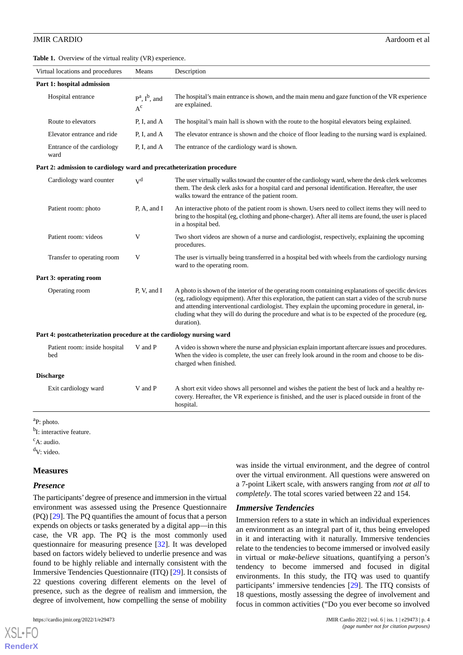<span id="page-3-0"></span>**Table 1.** Overview of the virtual reality (VR) experience.

| Virtual locations and procedures                                      | Means                        | Description                                                                                                                                                                                                                                                                                                                                                                                                                  |
|-----------------------------------------------------------------------|------------------------------|------------------------------------------------------------------------------------------------------------------------------------------------------------------------------------------------------------------------------------------------------------------------------------------------------------------------------------------------------------------------------------------------------------------------------|
| Part 1: hospital admission                                            |                              |                                                                                                                                                                                                                                                                                                                                                                                                                              |
| Hospital entrance                                                     | $P^a$ , $I^b$ , and<br>$A^c$ | The hospital's main entrance is shown, and the main menu and gaze function of the VR experience<br>are explained.                                                                                                                                                                                                                                                                                                            |
| Route to elevators                                                    | P, I, and A                  | The hospital's main hall is shown with the route to the hospital elevators being explained.                                                                                                                                                                                                                                                                                                                                  |
| Elevator entrance and ride                                            | P, I, and A                  | The elevator entrance is shown and the choice of floor leading to the nursing ward is explained.                                                                                                                                                                                                                                                                                                                             |
| Entrance of the cardiology<br>ward                                    | P, I, and A                  | The entrance of the cardiology ward is shown.                                                                                                                                                                                                                                                                                                                                                                                |
| Part 2: admission to cardiology ward and precatheterization procedure |                              |                                                                                                                                                                                                                                                                                                                                                                                                                              |
| Cardiology ward counter                                               | $V^d$                        | The user virtually walks toward the counter of the cardiology ward, where the desk clerk welcomes<br>them. The desk clerk asks for a hospital card and personal identification. Hereafter, the user<br>walks toward the entrance of the patient room.                                                                                                                                                                        |
| Patient room: photo                                                   | P, A, and I                  | An interactive photo of the patient room is shown. Users need to collect items they will need to<br>bring to the hospital (eg, clothing and phone-charger). After all items are found, the user is placed<br>in a hospital bed.                                                                                                                                                                                              |
| Patient room: videos                                                  | V                            | Two short videos are shown of a nurse and cardiologist, respectively, explaining the upcoming<br>procedures.                                                                                                                                                                                                                                                                                                                 |
| Transfer to operating room                                            | V                            | The user is virtually being transferred in a hospital bed with wheels from the cardiology nursing<br>ward to the operating room.                                                                                                                                                                                                                                                                                             |
| Part 3: operating room                                                |                              |                                                                                                                                                                                                                                                                                                                                                                                                                              |
| Operating room                                                        | P, V, and I                  | A photo is shown of the interior of the operating room containing explanations of specific devices<br>(eg, radiology equipment). After this exploration, the patient can start a video of the scrub nurse<br>and attending interventional cardiologist. They explain the upcoming procedure in general, in-<br>cluding what they will do during the procedure and what is to be expected of the procedure (eg,<br>duration). |
| Part 4: postcatheterization procedure at the cardiology nursing ward  |                              |                                                                                                                                                                                                                                                                                                                                                                                                                              |
| Patient room: inside hospital<br>bed                                  | V and P                      | A video is shown where the nurse and physician explain important aftercare issues and procedures.<br>When the video is complete, the user can freely look around in the room and choose to be dis-<br>charged when finished.                                                                                                                                                                                                 |
| <b>Discharge</b>                                                      |                              |                                                                                                                                                                                                                                                                                                                                                                                                                              |
| Exit cardiology ward                                                  | V and P                      | A short exit video shows all personnel and wishes the patient the best of luck and a healthy re-<br>covery. Hereafter, the VR experience is finished, and the user is placed outside in front of the<br>hospital.                                                                                                                                                                                                            |

<sup>b</sup>I: interactive feature.

 $\mathrm{c}_{\mathrm{A}:}$  audio.

 $dV$ : video.

#### **Measures**

#### *Presence*

 $XS$ l • FC **[RenderX](http://www.renderx.com/)**

The participants'degree of presence and immersion in the virtual environment was assessed using the Presence Questionnaire (PQ) [[29\]](#page-9-11). The PQ quantifies the amount of focus that a person expends on objects or tasks generated by a digital app—in this case, the VR app. The PQ is the most commonly used questionnaire for measuring presence [[32\]](#page-10-0). It was developed based on factors widely believed to underlie presence and was found to be highly reliable and internally consistent with the Immersive Tendencies Questionnaire (ITQ) [\[29](#page-9-11)]. It consists of 22 questions covering different elements on the level of presence, such as the degree of realism and immersion, the degree of involvement, how compelling the sense of mobility

was inside the virtual environment, and the degree of control over the virtual environment. All questions were answered on a 7-point Likert scale, with answers ranging from *not at all* to *completely*. The total scores varied between 22 and 154.

### *Immersive Tendencies*

Immersion refers to a state in which an individual experiences an environment as an integral part of it*,* thus being enveloped in it and interacting with it naturally. Immersive tendencies relate to the tendencies to become immersed or involved easily in virtual or *make-believe* situations, quantifying a person's tendency to become immersed and focused in digital environments. In this study, the ITQ was used to quantify participants' immersive tendencies [[29\]](#page-9-11). The ITQ consists of 18 questions, mostly assessing the degree of involvement and focus in common activities ("Do you ever become so involved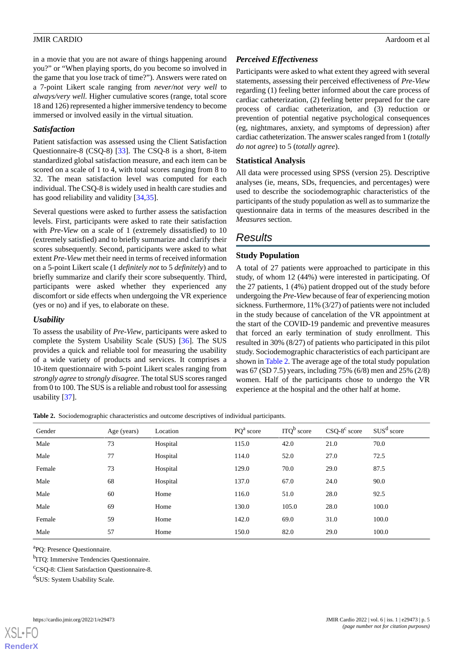in a movie that you are not aware of things happening around you?" or "When playing sports, do you become so involved in the game that you lose track of time?"). Answers were rated on a 7-point Likert scale ranging from *never/not very well* to *always/very well.* Higher cumulative scores (range, total score 18 and 126) represented a higher immersive tendency to become immersed or involved easily in the virtual situation.

### *Satisfaction*

Patient satisfaction was assessed using the Client Satisfaction Questionnaire-8 (CSQ-8) [[33\]](#page-10-1). The CSQ-8 is a short, 8-item standardized global satisfaction measure, and each item can be scored on a scale of 1 to 4, with total scores ranging from 8 to 32. The mean satisfaction level was computed for each individual. The CSQ-8 is widely used in health care studies and has good reliability and validity [\[34](#page-10-2),[35\]](#page-10-3).

Several questions were asked to further assess the satisfaction levels. First, participants were asked to rate their satisfaction with *Pre-View* on a scale of 1 (extremely dissatisfied) to 10 (extremely satisfied) and to briefly summarize and clarify their scores subsequently. Second, participants were asked to what extent *Pre-View* met their need in terms of received information on a 5-point Likert scale (1 *definitely not* to 5 *definitely*) and to briefly summarize and clarify their score subsequently. Third, participants were asked whether they experienced any discomfort or side effects when undergoing the VR experience (yes or no) and if yes, to elaborate on these.

### *Usability*

To assess the usability of *Pre-View*, participants were asked to complete the System Usability Scale (SUS) [\[36](#page-10-4)]. The SUS provides a quick and reliable tool for measuring the usability of a wide variety of products and services. It comprises a 10-item questionnaire with 5-point Likert scales ranging from *strongly agree* to *strongly disagree*. The total SUS scores ranged from 0 to 100. The SUS is a reliable and robust tool for assessing usability [[37\]](#page-10-5).

### *Perceived Effectiveness*

Participants were asked to what extent they agreed with several statements, assessing their perceived effectiveness of *Pre-View* regarding (1) feeling better informed about the care process of cardiac catheterization, (2) feeling better prepared for the care process of cardiac catheterization, and (3) reduction or prevention of potential negative psychological consequences (eg, nightmares, anxiety, and symptoms of depression) after cardiac catheterization. The answer scales ranged from 1 (*totally do not agree*) to 5 (*totally agree*).

### **Statistical Analysis**

All data were processed using SPSS (version 25). Descriptive analyses (ie, means, SDs, frequencies, and percentages) were used to describe the sociodemographic characteristics of the participants of the study population as well as to summarize the questionnaire data in terms of the measures described in the *Measures* section.

# *Results*

### **Study Population**

A total of 27 patients were approached to participate in this study, of whom 12 (44%) were interested in participating. Of the 27 patients, 1 (4%) patient dropped out of the study before undergoing the *Pre-View* because of fear of experiencing motion sickness. Furthermore, 11% (3/27) of patients were not included in the study because of cancelation of the VR appointment at the start of the COVID-19 pandemic and preventive measures that forced an early termination of study enrollment. This resulted in 30% (8/27) of patients who participated in this pilot study. Sociodemographic characteristics of each participant are shown in [Table 2](#page-4-0). The average age of the total study population was 67 (SD 7.5) years, including 75% (6/8) men and 25% (2/8) women. Half of the participants chose to undergo the VR experience at the hospital and the other half at home.

<span id="page-4-0"></span>**Table 2.** Sociodemographic characteristics and outcome descriptives of individual participants.

| Gender | Age (years) | Location | $PQa$ score | ITQ <sup>b</sup> score | $CSQ-8^c$ score | SUS <sup>d</sup> score |
|--------|-------------|----------|-------------|------------------------|-----------------|------------------------|
| Male   | 73          | Hospital | 115.0       | 42.0                   | 21.0            | 70.0                   |
| Male   | 77          | Hospital | 114.0       | 52.0                   | 27.0            | 72.5                   |
| Female | 73          | Hospital | 129.0       | 70.0                   | 29.0            | 87.5                   |
| Male   | 68          | Hospital | 137.0       | 67.0                   | 24.0            | 90.0                   |
| Male   | 60          | Home     | 116.0       | 51.0                   | 28.0            | 92.5                   |
| Male   | 69          | Home     | 130.0       | 105.0                  | 28.0            | 100.0                  |
| Female | 59          | Home     | 142.0       | 69.0                   | 31.0            | 100.0                  |
| Male   | 57          | Home     | 150.0       | 82.0                   | 29.0            | 100.0                  |

a PQ: Presence Questionnaire.

<sup>b</sup>ITQ: Immersive Tendencies Questionnaire.

<sup>c</sup>CSQ-8: Client Satisfaction Questionnaire-8.

d SUS: System Usability Scale.

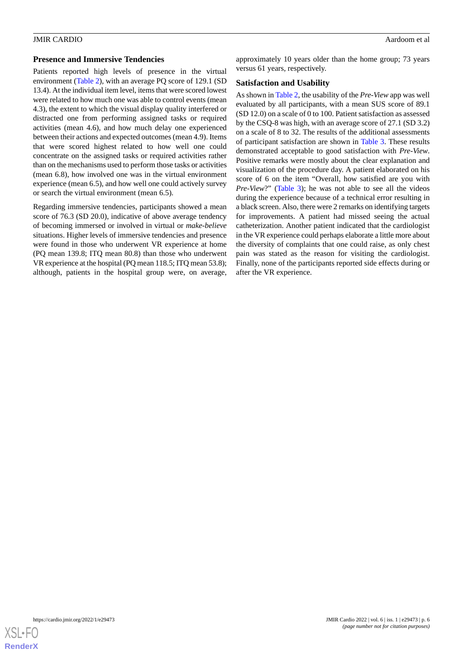### **Presence and Immersive Tendencies**

Patients reported high levels of presence in the virtual environment [\(Table 2\)](#page-4-0), with an average PQ score of 129.1 (SD 13.4). At the individual item level, items that were scored lowest were related to how much one was able to control events (mean 4.3), the extent to which the visual display quality interfered or distracted one from performing assigned tasks or required activities (mean 4.6), and how much delay one experienced between their actions and expected outcomes (mean 4.9). Items that were scored highest related to how well one could concentrate on the assigned tasks or required activities rather than on the mechanisms used to perform those tasks or activities (mean 6.8), how involved one was in the virtual environment experience (mean 6.5), and how well one could actively survey or search the virtual environment (mean 6.5).

Regarding immersive tendencies, participants showed a mean score of 76.3 (SD 20.0), indicative of above average tendency of becoming immersed or involved in virtual or *make-believe* situations. Higher levels of immersive tendencies and presence were found in those who underwent VR experience at home (PQ mean 139.8; ITQ mean 80.8) than those who underwent VR experience at the hospital (PQ mean 118.5; ITQ mean 53.8); although, patients in the hospital group were, on average,

approximately 10 years older than the home group; 73 years versus 61 years, respectively.

### **Satisfaction and Usability**

As shown in [Table 2](#page-4-0), the usability of the *Pre-View* app was well evaluated by all participants, with a mean SUS score of 89.1 (SD 12.0) on a scale of 0 to 100. Patient satisfaction as assessed by the CSQ-8 was high, with an average score of 27.1 (SD 3.2) on a scale of 8 to 32. The results of the additional assessments of participant satisfaction are shown in [Table 3](#page-6-0). These results demonstrated acceptable to good satisfaction with *Pre-View*. Positive remarks were mostly about the clear explanation and visualization of the procedure day. A patient elaborated on his score of 6 on the item "Overall, how satisfied are you with *Pre-View?*" [\(Table 3](#page-6-0)); he was not able to see all the videos during the experience because of a technical error resulting in a black screen. Also, there were 2 remarks on identifying targets for improvements. A patient had missed seeing the actual catheterization. Another patient indicated that the cardiologist in the VR experience could perhaps elaborate a little more about the diversity of complaints that one could raise, as only chest pain was stated as the reason for visiting the cardiologist. Finally, none of the participants reported side effects during or after the VR experience.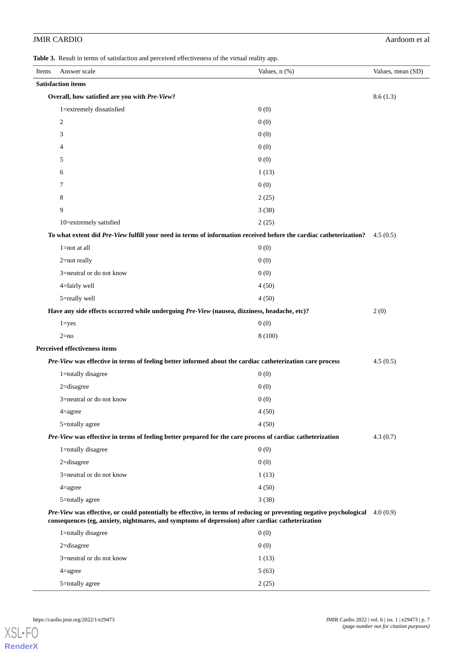### JMIR CARDIO Aardoom et al

<span id="page-6-0"></span>**Table 3.** Result in terms of satisfaction and perceived effectiveness of the virtual reality app.

| Items                                                                                                                                                                                                                              | Answer scale                                                                                                       | Values, $n$ $(\%)$ | Values, mean (SD) |  |
|------------------------------------------------------------------------------------------------------------------------------------------------------------------------------------------------------------------------------------|--------------------------------------------------------------------------------------------------------------------|--------------------|-------------------|--|
|                                                                                                                                                                                                                                    | <b>Satisfaction items</b>                                                                                          |                    |                   |  |
|                                                                                                                                                                                                                                    | Overall, how satisfied are you with Pre-View?                                                                      |                    |                   |  |
|                                                                                                                                                                                                                                    | 1=extremely dissatisfied                                                                                           | 0(0)               |                   |  |
|                                                                                                                                                                                                                                    | $\overline{c}$                                                                                                     | 0(0)               |                   |  |
|                                                                                                                                                                                                                                    | 3                                                                                                                  | 0(0)               |                   |  |
|                                                                                                                                                                                                                                    | $\overline{4}$                                                                                                     | 0(0)               |                   |  |
|                                                                                                                                                                                                                                    | 5                                                                                                                  | 0(0)               |                   |  |
|                                                                                                                                                                                                                                    | 6                                                                                                                  | 1(13)              |                   |  |
|                                                                                                                                                                                                                                    | 7                                                                                                                  | 0(0)               |                   |  |
|                                                                                                                                                                                                                                    | 8                                                                                                                  | 2(25)              |                   |  |
|                                                                                                                                                                                                                                    | 9                                                                                                                  | 3(38)              |                   |  |
|                                                                                                                                                                                                                                    | 10=extremely satisfied                                                                                             | 2(25)              |                   |  |
|                                                                                                                                                                                                                                    | To what extent did Pre-View fulfill your need in terms of information received before the cardiac catheterization? |                    | 4.5(0.5)          |  |
|                                                                                                                                                                                                                                    | $1 = not$ at all                                                                                                   | 0(0)               |                   |  |
|                                                                                                                                                                                                                                    | $2$ =not really                                                                                                    | 0(0)               |                   |  |
|                                                                                                                                                                                                                                    | 3=neutral or do not know                                                                                           | 0(0)               |                   |  |
|                                                                                                                                                                                                                                    | 4=fairly well                                                                                                      | 4(50)              |                   |  |
|                                                                                                                                                                                                                                    | 5=really well                                                                                                      | 4(50)              |                   |  |
|                                                                                                                                                                                                                                    | Have any side effects occurred while undergoing Pre-View (nausea, dizziness, headache, etc)?                       |                    | 2(0)              |  |
|                                                                                                                                                                                                                                    | $1 = yes$                                                                                                          | 0(0)               |                   |  |
|                                                                                                                                                                                                                                    | $2=no$                                                                                                             | 8 (100)            |                   |  |
|                                                                                                                                                                                                                                    | <b>Perceived effectiveness items</b>                                                                               |                    |                   |  |
|                                                                                                                                                                                                                                    | Pre-View was effective in terms of feeling better informed about the cardiac catheterization care process          |                    | 4.5(0.5)          |  |
|                                                                                                                                                                                                                                    | 1=totally disagree                                                                                                 | 0(0)               |                   |  |
|                                                                                                                                                                                                                                    | 2=disagree                                                                                                         | 0(0)               |                   |  |
|                                                                                                                                                                                                                                    | 3=neutral or do not know                                                                                           | 0(0)               |                   |  |
|                                                                                                                                                                                                                                    | $4 =$ agree                                                                                                        | 4(50)              |                   |  |
|                                                                                                                                                                                                                                    | 5=totally agree                                                                                                    | 4(50)              |                   |  |
|                                                                                                                                                                                                                                    | Pre-View was effective in terms of feeling better prepared for the care process of cardiac catheterization         |                    | 4.3(0.7)          |  |
|                                                                                                                                                                                                                                    | 1=totally disagree                                                                                                 | 0(0)               |                   |  |
|                                                                                                                                                                                                                                    | $2 =$ disagree                                                                                                     | 0(0)               |                   |  |
|                                                                                                                                                                                                                                    | 3=neutral or do not know                                                                                           | 1(13)              |                   |  |
|                                                                                                                                                                                                                                    | $4 = \text{agree}$                                                                                                 | 4(50)              |                   |  |
|                                                                                                                                                                                                                                    | 5=totally agree                                                                                                    | 3(38)              |                   |  |
| Pre-View was effective, or could potentially be effective, in terms of reducing or preventing negative psychological 4.0 (0.9)<br>consequences (eg, anxiety, nightmares, and symptoms of depression) after cardiac catheterization |                                                                                                                    |                    |                   |  |
|                                                                                                                                                                                                                                    | 1=totally disagree                                                                                                 | 0(0)               |                   |  |
|                                                                                                                                                                                                                                    | $2 =$ disagree                                                                                                     | 0(0)               |                   |  |
|                                                                                                                                                                                                                                    | 3=neutral or do not know                                                                                           | 1(13)              |                   |  |
|                                                                                                                                                                                                                                    | $4 = \text{agree}$                                                                                                 | 5(63)              |                   |  |

5=totally agree 2 (25)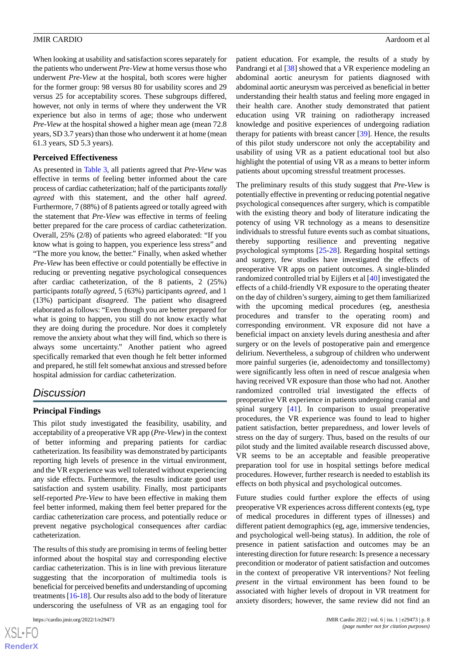When looking at usability and satisfaction scores separately for the patients who underwent *Pre-View* at home versus those who underwent *Pre-View* at the hospital, both scores were higher for the former group: 98 versus 80 for usability scores and 29 versus 25 for acceptability scores. These subgroups differed, however, not only in terms of where they underwent the VR experience but also in terms of age; those who underwent *Pre-View* at the hospital showed a higher mean age (mean 72.8 years, SD 3.7 years) than those who underwent it at home (mean 61.3 years, SD 5.3 years).

### **Perceived Effectiveness**

As presented in [Table 3,](#page-6-0) all patients agreed that *Pre-View* was effective in terms of feeling better informed about the care process of cardiac catheterization; half of the participants *totally agreed* with this statement, and the other half *agreed*. Furthermore, 7 (88%) of 8 patients agreed or totally agreed with the statement that *Pre-View* was effective in terms of feeling better prepared for the care process of cardiac catheterization. Overall, 25% (2/8) of patients who agreed elaborated: "If you know what is going to happen, you experience less stress" and "The more you know, the better." Finally, when asked whether *Pre-View* has been effective or could potentially be effective in reducing or preventing negative psychological consequences after cardiac catheterization, of the 8 patients, 2 (25%) participants *totally agreed*, 5 (63%) participants *agreed*, and 1 (13%) participant *disagreed*. The patient who disagreed elaborated as follows: "Even though you are better prepared for what is going to happen, you still do not know exactly what they are doing during the procedure. Nor does it completely remove the anxiety about what they will find, which so there is always some uncertainty." Another patient who agreed specifically remarked that even though he felt better informed and prepared, he still felt somewhat anxious and stressed before hospital admission for cardiac catheterization.

### *Discussion*

### **Principal Findings**

This pilot study investigated the feasibility, usability, and acceptability of a preoperative VR app (*Pre-View*) in the context of better informing and preparing patients for cardiac catheterization. Its feasibility was demonstrated by participants reporting high levels of presence in the virtual environment, and the VR experience was well tolerated without experiencing any side effects. Furthermore, the results indicate good user satisfaction and system usability. Finally, most participants self-reported *Pre-View* to have been effective in making them feel better informed, making them feel better prepared for the cardiac catheterization care process, and potentially reduce or prevent negative psychological consequences after cardiac catheterization.

The results of this study are promising in terms of feeling better informed about the hospital stay and corresponding elective cardiac catheterization. This is in line with previous literature suggesting that the incorporation of multimedia tools is beneficial for perceived benefits and understanding of upcoming treatments [\[16](#page-9-4)[-18](#page-9-5)]. Our results also add to the body of literature underscoring the usefulness of VR as an engaging tool for

patient education. For example, the results of a study by Pandrangi et al [[38\]](#page-10-6) showed that a VR experience modeling an abdominal aortic aneurysm for patients diagnosed with abdominal aortic aneurysm was perceived as beneficial in better understanding their health status and feeling more engaged in their health care. Another study demonstrated that patient education using VR training on radiotherapy increased knowledge and positive experiences of undergoing radiation therapy for patients with breast cancer [[39\]](#page-10-7). Hence, the results of this pilot study underscore not only the acceptability and usability of using VR as a patient educational tool but also highlight the potential of using VR as a means to better inform patients about upcoming stressful treatment processes.

The preliminary results of this study suggest that *Pre-View* is potentially effective in preventing or reducing potential negative psychological consequences after surgery, which is compatible with the existing theory and body of literature indicating the potency of using VR technology as a means to desensitize individuals to stressful future events such as combat situations, thereby supporting resilience and preventing negative psychological symptoms [\[25](#page-9-9)-[28\]](#page-9-10). Regarding hospital settings and surgery, few studies have investigated the effects of preoperative VR apps on patient outcomes. A single-blinded randomized controlled trial by Eijlers et al [[40\]](#page-10-8) investigated the effects of a child-friendly VR exposure to the operating theater on the day of children's surgery, aiming to get them familiarized with the upcoming medical procedures (eg, anesthesia procedures and transfer to the operating room) and corresponding environment. VR exposure did not have a beneficial impact on anxiety levels during anesthesia and after surgery or on the levels of postoperative pain and emergence delirium. Nevertheless, a subgroup of children who underwent more painful surgeries (ie, adenoidectomy and tonsillectomy) were significantly less often in need of rescue analgesia when having received VR exposure than those who had not. Another randomized controlled trial investigated the effects of preoperative VR experience in patients undergoing cranial and spinal surgery [[41\]](#page-10-9). In comparison to usual preoperative procedures, the VR experience was found to lead to higher patient satisfaction, better preparedness, and lower levels of stress on the day of surgery. Thus, based on the results of our pilot study and the limited available research discussed above, VR seems to be an acceptable and feasible preoperative preparation tool for use in hospital settings before medical procedures. However, further research is needed to establish its effects on both physical and psychological outcomes.

Future studies could further explore the effects of using preoperative VR experiences across different contexts (eg, type of medical procedures in different types of illnesses) and different patient demographics (eg, age, immersive tendencies, and psychological well-being status). In addition, the role of presence in patient satisfaction and outcomes may be an interesting direction for future research: Is presence a necessary precondition or moderator of patient satisfaction and outcomes in the context of preoperative VR interventions? Not feeling *present* in the virtual environment has been found to be associated with higher levels of dropout in VR treatment for anxiety disorders; however, the same review did not find an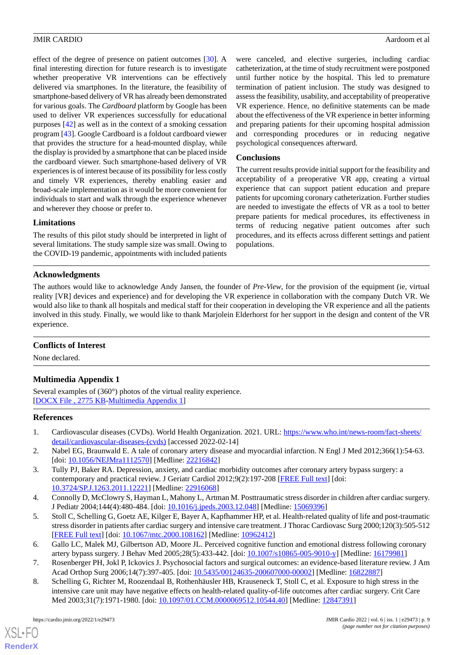effect of the degree of presence on patient outcomes [\[30](#page-9-12)]. A final interesting direction for future research is to investigate whether preoperative VR interventions can be effectively delivered via smartphones. In the literature, the feasibility of smartphone-based delivery of VR has already been demonstrated for various goals. The *Cardboard* platform by Google has been used to deliver VR experiences successfully for educational purposes [\[42](#page-10-10)] as well as in the context of a smoking cessation program [[43\]](#page-10-11). Google Cardboard is a foldout cardboard viewer that provides the structure for a head-mounted display, while the display is provided by a smartphone that can be placed inside the cardboard viewer. Such smartphone-based delivery of VR experiences is of interest because of its possibility for less costly and timely VR experiences, thereby enabling easier and broad-scale implementation as it would be more convenient for individuals to start and walk through the experience whenever and wherever they choose or prefer to.

were canceled, and elective surgeries, including cardiac catheterization, at the time of study recruitment were postponed until further notice by the hospital. This led to premature termination of patient inclusion. The study was designed to assess the feasibility, usability, and acceptability of preoperative VR experience. Hence, no definitive statements can be made about the effectiveness of the VR experience in better informing and preparing patients for their upcoming hospital admission and corresponding procedures or in reducing negative psychological consequences afterward.

### **Conclusions**

The current results provide initial support for the feasibility and acceptability of a preoperative VR app, creating a virtual experience that can support patient education and prepare patients for upcoming coronary catheterization. Further studies are needed to investigate the effects of VR as a tool to better prepare patients for medical procedures, its effectiveness in terms of reducing negative patient outcomes after such procedures, and its effects across different settings and patient populations.

### **Limitations**

The results of this pilot study should be interpreted in light of several limitations. The study sample size was small. Owing to the COVID-19 pandemic, appointments with included patients

### **Acknowledgments**

The authors would like to acknowledge Andy Jansen, the founder of *Pre-View*, for the provision of the equipment (ie, virtual reality [VR] devices and experience) and for developing the VR experience in collaboration with the company Dutch VR. We would also like to thank all hospitals and medical staff for their cooperation in developing the VR experience and all the patients involved in this study. Finally, we would like to thank Marjolein Elderhorst for her support in the design and content of the VR experience.

### <span id="page-8-7"></span>**Conflicts of Interest**

None declared.

### **Multimedia Appendix 1**

<span id="page-8-0"></span>Several examples of (360°) photos of the virtual reality experience. [[DOCX File , 2775 KB](https://jmir.org/api/download?alt_name=cardio_v6i1e29473_app1.docx&filename=8c05a57d65b510fda47117c447776656.docx)-[Multimedia Appendix 1\]](https://jmir.org/api/download?alt_name=cardio_v6i1e29473_app1.docx&filename=8c05a57d65b510fda47117c447776656.docx)

### <span id="page-8-2"></span><span id="page-8-1"></span>**References**

- 1. Cardiovascular diseases (CVDs). World Health Organization. 2021. URL: [https://www.who.int/news-room/fact-sheets/](https://www.who.int/news-room/fact-sheets/detail/cardiovascular-diseases-(cvds)) [detail/cardiovascular-diseases-\(cvds\)](https://www.who.int/news-room/fact-sheets/detail/cardiovascular-diseases-(cvds)) [accessed 2022-02-14]
- 2. Nabel EG, Braunwald E. A tale of coronary artery disease and myocardial infarction. N Engl J Med 2012;366(1):54-63. [doi: [10.1056/NEJMra1112570](http://dx.doi.org/10.1056/NEJMra1112570)] [Medline: [22216842\]](http://www.ncbi.nlm.nih.gov/entrez/query.fcgi?cmd=Retrieve&db=PubMed&list_uids=22216842&dopt=Abstract)
- <span id="page-8-6"></span>3. Tully PJ, Baker RA. Depression, anxiety, and cardiac morbidity outcomes after coronary artery bypass surgery: a contemporary and practical review. J Geriatr Cardiol 2012;9(2):197-208 [[FREE Full text](http://europepmc.org/abstract/MED/22916068)] [doi: [10.3724/SP.J.1263.2011.12221\]](http://dx.doi.org/10.3724/SP.J.1263.2011.12221) [Medline: [22916068](http://www.ncbi.nlm.nih.gov/entrez/query.fcgi?cmd=Retrieve&db=PubMed&list_uids=22916068&dopt=Abstract)]
- <span id="page-8-3"></span>4. Connolly D, McClowry S, Hayman L, Mahony L, Artman M. Posttraumatic stress disorder in children after cardiac surgery. J Pediatr 2004;144(4):480-484. [doi: [10.1016/j.jpeds.2003.12.048\]](http://dx.doi.org/10.1016/j.jpeds.2003.12.048) [Medline: [15069396\]](http://www.ncbi.nlm.nih.gov/entrez/query.fcgi?cmd=Retrieve&db=PubMed&list_uids=15069396&dopt=Abstract)
- <span id="page-8-5"></span><span id="page-8-4"></span>5. Stoll C, Schelling G, Goetz AE, Kilger E, Bayer A, Kapfhammer HP, et al. Health-related quality of life and post-traumatic stress disorder in patients after cardiac surgery and intensive care treatment. J Thorac Cardiovasc Surg 2000;120(3):505-512 [[FREE Full text](https://linkinghub.elsevier.com/retrieve/pii/S002252230066230X)] [doi: [10.1067/mtc.2000.108162\]](http://dx.doi.org/10.1067/mtc.2000.108162) [Medline: [10962412](http://www.ncbi.nlm.nih.gov/entrez/query.fcgi?cmd=Retrieve&db=PubMed&list_uids=10962412&dopt=Abstract)]
- 6. Gallo LC, Malek MJ, Gilbertson AD, Moore JL. Perceived cognitive function and emotional distress following coronary artery bypass surgery. J Behav Med 2005;28(5):433-442. [doi: [10.1007/s10865-005-9010-y](http://dx.doi.org/10.1007/s10865-005-9010-y)] [Medline: [16179981](http://www.ncbi.nlm.nih.gov/entrez/query.fcgi?cmd=Retrieve&db=PubMed&list_uids=16179981&dopt=Abstract)]
- 7. Rosenberger PH, Jokl P, Ickovics J. Psychosocial factors and surgical outcomes: an evidence-based literature review. J Am Acad Orthop Surg 2006;14(7):397-405. [doi: [10.5435/00124635-200607000-00002](http://dx.doi.org/10.5435/00124635-200607000-00002)] [Medline: [16822887\]](http://www.ncbi.nlm.nih.gov/entrez/query.fcgi?cmd=Retrieve&db=PubMed&list_uids=16822887&dopt=Abstract)
- 8. Schelling G, Richter M, Roozendaal B, Rothenhäusler HB, Krauseneck T, Stoll C, et al. Exposure to high stress in the intensive care unit may have negative effects on health-related quality-of-life outcomes after cardiac surgery. Crit Care Med 2003;31(7):1971-1980. [doi: [10.1097/01.CCM.0000069512.10544.40\]](http://dx.doi.org/10.1097/01.CCM.0000069512.10544.40) [Medline: [12847391\]](http://www.ncbi.nlm.nih.gov/entrez/query.fcgi?cmd=Retrieve&db=PubMed&list_uids=12847391&dopt=Abstract)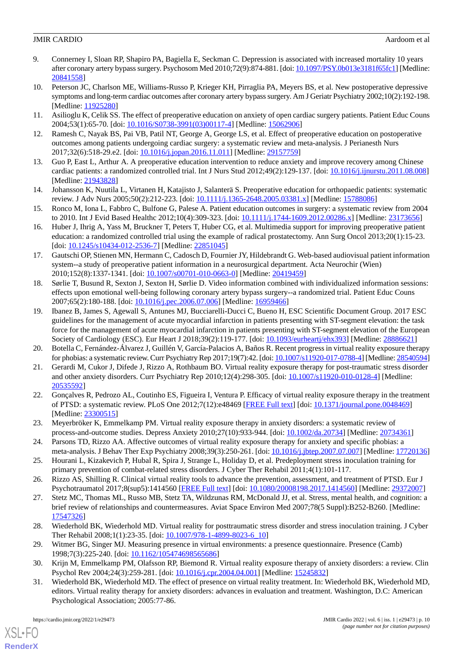- <span id="page-9-0"></span>9. Connerney I, Sloan RP, Shapiro PA, Bagiella E, Seckman C. Depression is associated with increased mortality 10 years after coronary artery bypass surgery. Psychosom Med 2010;72(9):874-881. [doi: [10.1097/PSY.0b013e3181f65fc1\]](http://dx.doi.org/10.1097/PSY.0b013e3181f65fc1) [Medline: [20841558](http://www.ncbi.nlm.nih.gov/entrez/query.fcgi?cmd=Retrieve&db=PubMed&list_uids=20841558&dopt=Abstract)]
- <span id="page-9-1"></span>10. Peterson JC, Charlson ME, Williams-Russo P, Krieger KH, Pirraglia PA, Meyers BS, et al. New postoperative depressive symptoms and long-term cardiac outcomes after coronary artery bypass surgery. Am J Geriatr Psychiatry 2002;10(2):192-198. [Medline: [11925280](http://www.ncbi.nlm.nih.gov/entrez/query.fcgi?cmd=Retrieve&db=PubMed&list_uids=11925280&dopt=Abstract)]
- <span id="page-9-2"></span>11. Asilioglu K, Celik SS. The effect of preoperative education on anxiety of open cardiac surgery patients. Patient Educ Couns 2004;53(1):65-70. [doi: [10.1016/S0738-3991\(03\)00117-4\]](http://dx.doi.org/10.1016/S0738-3991(03)00117-4) [Medline: [15062906](http://www.ncbi.nlm.nih.gov/entrez/query.fcgi?cmd=Retrieve&db=PubMed&list_uids=15062906&dopt=Abstract)]
- 12. Ramesh C, Nayak BS, Pai VB, Patil NT, George A, George LS, et al. Effect of preoperative education on postoperative outcomes among patients undergoing cardiac surgery: a systematic review and meta-analysis. J Perianesth Nurs 2017;32(6):518-29.e2. [doi: [10.1016/j.jopan.2016.11.011\]](http://dx.doi.org/10.1016/j.jopan.2016.11.011) [Medline: [29157759\]](http://www.ncbi.nlm.nih.gov/entrez/query.fcgi?cmd=Retrieve&db=PubMed&list_uids=29157759&dopt=Abstract)
- 13. Guo P, East L, Arthur A. A preoperative education intervention to reduce anxiety and improve recovery among Chinese cardiac patients: a randomized controlled trial. Int J Nurs Stud 2012;49(2):129-137. [doi: [10.1016/j.ijnurstu.2011.08.008](http://dx.doi.org/10.1016/j.ijnurstu.2011.08.008)] [Medline: [21943828](http://www.ncbi.nlm.nih.gov/entrez/query.fcgi?cmd=Retrieve&db=PubMed&list_uids=21943828&dopt=Abstract)]
- <span id="page-9-3"></span>14. Johansson K, Nuutila L, Virtanen H, Katajisto J, Salanterä S. Preoperative education for orthopaedic patients: systematic review. J Adv Nurs 2005;50(2):212-223. [doi: [10.1111/j.1365-2648.2005.03381.x\]](http://dx.doi.org/10.1111/j.1365-2648.2005.03381.x) [Medline: [15788086\]](http://www.ncbi.nlm.nih.gov/entrez/query.fcgi?cmd=Retrieve&db=PubMed&list_uids=15788086&dopt=Abstract)
- <span id="page-9-4"></span>15. Ronco M, Iona L, Fabbro C, Bulfone G, Palese A. Patient education outcomes in surgery: a systematic review from 2004 to 2010. Int J Evid Based Healthc 2012;10(4):309-323. [doi: [10.1111/j.1744-1609.2012.00286.x](http://dx.doi.org/10.1111/j.1744-1609.2012.00286.x)] [Medline: [23173656\]](http://www.ncbi.nlm.nih.gov/entrez/query.fcgi?cmd=Retrieve&db=PubMed&list_uids=23173656&dopt=Abstract)
- 16. Huber J, Ihrig A, Yass M, Bruckner T, Peters T, Huber CG, et al. Multimedia support for improving preoperative patient education: a randomized controlled trial using the example of radical prostatectomy. Ann Surg Oncol 2013;20(1):15-23. [doi: [10.1245/s10434-012-2536-7](http://dx.doi.org/10.1245/s10434-012-2536-7)] [Medline: [22851045\]](http://www.ncbi.nlm.nih.gov/entrez/query.fcgi?cmd=Retrieve&db=PubMed&list_uids=22851045&dopt=Abstract)
- <span id="page-9-5"></span>17. Gautschi OP, Stienen MN, Hermann C, Cadosch D, Fournier JY, Hildebrandt G. Web-based audiovisual patient information system--a study of preoperative patient information in a neurosurgical department. Acta Neurochir (Wien) 2010;152(8):1337-1341. [doi: [10.1007/s00701-010-0663-0\]](http://dx.doi.org/10.1007/s00701-010-0663-0) [Medline: [20419459](http://www.ncbi.nlm.nih.gov/entrez/query.fcgi?cmd=Retrieve&db=PubMed&list_uids=20419459&dopt=Abstract)]
- <span id="page-9-6"></span>18. Sørlie T, Busund R, Sexton J, Sexton H, Sørlie D. Video information combined with individualized information sessions: effects upon emotional well-being following coronary artery bypass surgery--a randomized trial. Patient Educ Couns 2007;65(2):180-188. [doi: [10.1016/j.pec.2006.07.006](http://dx.doi.org/10.1016/j.pec.2006.07.006)] [Medline: [16959466](http://www.ncbi.nlm.nih.gov/entrez/query.fcgi?cmd=Retrieve&db=PubMed&list_uids=16959466&dopt=Abstract)]
- <span id="page-9-7"></span>19. Ibanez B, James S, Agewall S, Antunes MJ, Bucciarelli-Ducci C, Bueno H, ESC Scientific Document Group. 2017 ESC guidelines for the management of acute myocardial infarction in patients presenting with ST-segment elevation: the task force for the management of acute myocardial infarction in patients presenting with ST-segment elevation of the European Society of Cardiology (ESC). Eur Heart J 2018;39(2):119-177. [doi: [10.1093/eurheartj/ehx393](http://dx.doi.org/10.1093/eurheartj/ehx393)] [Medline: [28886621](http://www.ncbi.nlm.nih.gov/entrez/query.fcgi?cmd=Retrieve&db=PubMed&list_uids=28886621&dopt=Abstract)]
- 20. Botella C, Fernández-Álvarez J, Guillén V, García-Palacios A, Baños R. Recent progress in virtual reality exposure therapy for phobias: a systematic review. Curr Psychiatry Rep 2017;19(7):42. [doi: [10.1007/s11920-017-0788-4](http://dx.doi.org/10.1007/s11920-017-0788-4)] [Medline: [28540594\]](http://www.ncbi.nlm.nih.gov/entrez/query.fcgi?cmd=Retrieve&db=PubMed&list_uids=28540594&dopt=Abstract)
- 21. Gerardi M, Cukor J, Difede J, Rizzo A, Rothbaum BO. Virtual reality exposure therapy for post-traumatic stress disorder and other anxiety disorders. Curr Psychiatry Rep 2010;12(4):298-305. [doi: [10.1007/s11920-010-0128-4](http://dx.doi.org/10.1007/s11920-010-0128-4)] [Medline: [20535592](http://www.ncbi.nlm.nih.gov/entrez/query.fcgi?cmd=Retrieve&db=PubMed&list_uids=20535592&dopt=Abstract)]
- <span id="page-9-8"></span>22. Gonçalves R, Pedrozo AL, Coutinho ES, Figueira I, Ventura P. Efficacy of virtual reality exposure therapy in the treatment of PTSD: a systematic review. PLoS One 2012;7(12):e48469 [\[FREE Full text\]](https://dx.plos.org/10.1371/journal.pone.0048469) [doi: [10.1371/journal.pone.0048469\]](http://dx.doi.org/10.1371/journal.pone.0048469) [Medline: [23300515](http://www.ncbi.nlm.nih.gov/entrez/query.fcgi?cmd=Retrieve&db=PubMed&list_uids=23300515&dopt=Abstract)]
- <span id="page-9-9"></span>23. Meyerbröker K, Emmelkamp PM. Virtual reality exposure therapy in anxiety disorders: a systematic review of process-and-outcome studies. Depress Anxiety 2010;27(10):933-944. [doi: [10.1002/da.20734\]](http://dx.doi.org/10.1002/da.20734) [Medline: [20734361\]](http://www.ncbi.nlm.nih.gov/entrez/query.fcgi?cmd=Retrieve&db=PubMed&list_uids=20734361&dopt=Abstract)
- 24. Parsons TD, Rizzo AA. Affective outcomes of virtual reality exposure therapy for anxiety and specific phobias: a meta-analysis. J Behav Ther Exp Psychiatry 2008;39(3):250-261. [doi: [10.1016/j.jbtep.2007.07.007](http://dx.doi.org/10.1016/j.jbtep.2007.07.007)] [Medline: [17720136](http://www.ncbi.nlm.nih.gov/entrez/query.fcgi?cmd=Retrieve&db=PubMed&list_uids=17720136&dopt=Abstract)]
- 25. Hourani L, Kizakevich P, Hubal R, Spira J, Strange L, Holiday D, et al. Predeployment stress inoculation training for primary prevention of combat-related stress disorders. J Cyber Ther Rehabil 2011;4(1):101-117.
- <span id="page-9-10"></span>26. Rizzo AS, Shilling R. Clinical virtual reality tools to advance the prevention, assessment, and treatment of PTSD. Eur J Psychotraumatol 2017;8(sup5):1414560 [\[FREE Full text\]](http://europepmc.org/abstract/MED/29372007) [doi: [10.1080/20008198.2017.1414560](http://dx.doi.org/10.1080/20008198.2017.1414560)] [Medline: [29372007\]](http://www.ncbi.nlm.nih.gov/entrez/query.fcgi?cmd=Retrieve&db=PubMed&list_uids=29372007&dopt=Abstract)
- <span id="page-9-12"></span><span id="page-9-11"></span>27. Stetz MC, Thomas ML, Russo MB, Stetz TA, Wildzunas RM, McDonald JJ, et al. Stress, mental health, and cognition: a brief review of relationships and countermeasures. Aviat Space Environ Med 2007;78(5 Suppl):B252-B260. [Medline: [17547326](http://www.ncbi.nlm.nih.gov/entrez/query.fcgi?cmd=Retrieve&db=PubMed&list_uids=17547326&dopt=Abstract)]
- <span id="page-9-13"></span>28. Wiederhold BK, Wiederhold MD. Virtual reality for posttraumatic stress disorder and stress inoculation training. J Cyber Ther Rehabil 2008;1(1):23-35. [doi: [10.1007/978-1-4899-8023-6\\_10](http://dx.doi.org/10.1007/978-1-4899-8023-6_10)]
- 29. Witmer BG, Singer MJ. Measuring presence in virtual environments: a presence questionnaire. Presence (Camb) 1998;7(3):225-240. [doi: [10.1162/105474698565686\]](http://dx.doi.org/10.1162/105474698565686)
- 30. Krijn M, Emmelkamp PM, Olafsson RP, Biemond R. Virtual reality exposure therapy of anxiety disorders: a review. Clin Psychol Rev 2004;24(3):259-281. [doi: [10.1016/j.cpr.2004.04.001](http://dx.doi.org/10.1016/j.cpr.2004.04.001)] [Medline: [15245832](http://www.ncbi.nlm.nih.gov/entrez/query.fcgi?cmd=Retrieve&db=PubMed&list_uids=15245832&dopt=Abstract)]
- 31. Wiederhold BK, Wiederhold MD. The effect of presence on virtual reality treatment. In: Wiederhold BK, Wiederhold MD, editors. Virtual reality therapy for anxiety disorders: advances in evaluation and treatment. Washington, D.C: American Psychological Association; 2005:77-86.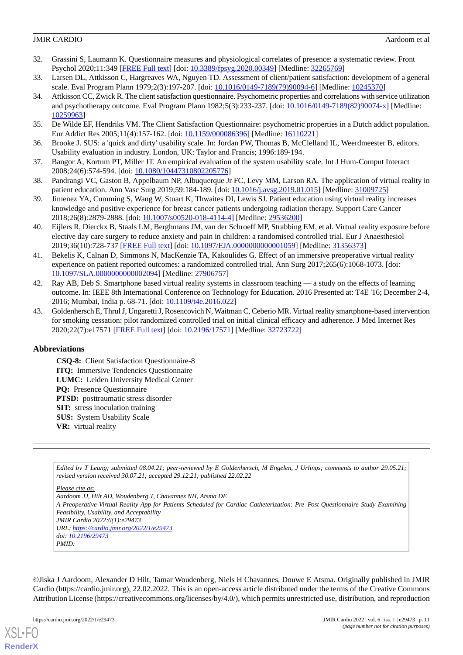- <span id="page-10-0"></span>32. Grassini S, Laumann K. Questionnaire measures and physiological correlates of presence: a systematic review. Front Psychol 2020;11:349 [\[FREE Full text\]](https://doi.org/10.3389/fpsyg.2020.00349) [doi: [10.3389/fpsyg.2020.00349](http://dx.doi.org/10.3389/fpsyg.2020.00349)] [Medline: [32265769\]](http://www.ncbi.nlm.nih.gov/entrez/query.fcgi?cmd=Retrieve&db=PubMed&list_uids=32265769&dopt=Abstract)
- <span id="page-10-2"></span><span id="page-10-1"></span>33. Larsen DL, Attkisson C, Hargreaves WA, Nguyen TD. Assessment of client/patient satisfaction: development of a general scale. Eval Program Plann 1979;2(3):197-207. [doi: [10.1016/0149-7189\(79\)90094-6\]](http://dx.doi.org/10.1016/0149-7189(79)90094-6) [Medline: [10245370\]](http://www.ncbi.nlm.nih.gov/entrez/query.fcgi?cmd=Retrieve&db=PubMed&list_uids=10245370&dopt=Abstract)
- 34. Attkisson CC, Zwick R. The client satisfaction questionnaire. Psychometric properties and correlations with service utilization and psychotherapy outcome. Eval Program Plann 1982;5(3):233-237. [doi: [10.1016/0149-7189\(82\)90074-x\]](http://dx.doi.org/10.1016/0149-7189(82)90074-x) [Medline: [10259963](http://www.ncbi.nlm.nih.gov/entrez/query.fcgi?cmd=Retrieve&db=PubMed&list_uids=10259963&dopt=Abstract)]
- <span id="page-10-4"></span><span id="page-10-3"></span>35. De Wilde EF, Hendriks VM. The Client Satisfaction Questionnaire: psychometric properties in a Dutch addict population. Eur Addict Res 2005;11(4):157-162. [doi: [10.1159/000086396\]](http://dx.doi.org/10.1159/000086396) [Medline: [16110221\]](http://www.ncbi.nlm.nih.gov/entrez/query.fcgi?cmd=Retrieve&db=PubMed&list_uids=16110221&dopt=Abstract)
- <span id="page-10-5"></span>36. Brooke J. SUS: a 'quick and dirty' usability scale. In: Jordan PW, Thomas B, McClelland IL, Weerdmeester B, editors. Usability evaluation in industry. London, UK: Taylor and Francis; 1996:189-194.
- <span id="page-10-6"></span>37. Bangor A, Kortum PT, Miller JT. An empirical evaluation of the system usability scale. Int J Hum-Comput Interact 2008;24(6):574-594. [doi: [10.1080/10447310802205776\]](http://dx.doi.org/10.1080/10447310802205776)
- <span id="page-10-7"></span>38. Pandrangi VC, Gaston B, Appelbaum NP, Albuquerque Jr FC, Levy MM, Larson RA. The application of virtual reality in patient education. Ann Vasc Surg 2019;59:184-189. [doi: [10.1016/j.avsg.2019.01.015\]](http://dx.doi.org/10.1016/j.avsg.2019.01.015) [Medline: [31009725\]](http://www.ncbi.nlm.nih.gov/entrez/query.fcgi?cmd=Retrieve&db=PubMed&list_uids=31009725&dopt=Abstract)
- <span id="page-10-8"></span>39. Jimenez YA, Cumming S, Wang W, Stuart K, Thwaites DI, Lewis SJ. Patient education using virtual reality increases knowledge and positive experience for breast cancer patients undergoing radiation therapy. Support Care Cancer 2018;26(8):2879-2888. [doi: [10.1007/s00520-018-4114-4\]](http://dx.doi.org/10.1007/s00520-018-4114-4) [Medline: [29536200](http://www.ncbi.nlm.nih.gov/entrez/query.fcgi?cmd=Retrieve&db=PubMed&list_uids=29536200&dopt=Abstract)]
- <span id="page-10-9"></span>40. Eijlers R, Dierckx B, Staals LM, Berghmans JM, van der Schroeff MP, Strabbing EM, et al. Virtual reality exposure before elective day care surgery to reduce anxiety and pain in children: a randomised controlled trial. Eur J Anaesthesiol 2019;36(10):728-737 [[FREE Full text](http://europepmc.org/abstract/MED/31356373)] [doi: [10.1097/EJA.0000000000001059\]](http://dx.doi.org/10.1097/EJA.0000000000001059) [Medline: [31356373\]](http://www.ncbi.nlm.nih.gov/entrez/query.fcgi?cmd=Retrieve&db=PubMed&list_uids=31356373&dopt=Abstract)
- <span id="page-10-10"></span>41. Bekelis K, Calnan D, Simmons N, MacKenzie TA, Kakoulides G. Effect of an immersive preoperative virtual reality experience on patient reported outcomes: a randomized controlled trial. Ann Surg 2017;265(6):1068-1073. [doi: [10.1097/SLA.0000000000002094](http://dx.doi.org/10.1097/SLA.0000000000002094)] [Medline: [27906757\]](http://www.ncbi.nlm.nih.gov/entrez/query.fcgi?cmd=Retrieve&db=PubMed&list_uids=27906757&dopt=Abstract)
- <span id="page-10-11"></span>42. Ray AB, Deb S. Smartphone based virtual reality systems in classroom teaching — a study on the effects of learning outcome. In: IEEE 8th International Conference on Technology for Education. 2016 Presented at: T4E '16; December 2-4, 2016; Mumbai, India p. 68-71. [doi: [10.1109/t4e.2016.022\]](http://dx.doi.org/10.1109/t4e.2016.022)
- 43. Goldenhersch E, Thrul J, Ungaretti J, Rosencovich N, Waitman C, Ceberio MR. Virtual reality smartphone-based intervention for smoking cessation: pilot randomized controlled trial on initial clinical efficacy and adherence. J Med Internet Res 2020;22(7):e17571 [\[FREE Full text](https://www.jmir.org/2020/7/e17571/)] [doi: [10.2196/17571\]](http://dx.doi.org/10.2196/17571) [Medline: [32723722\]](http://www.ncbi.nlm.nih.gov/entrez/query.fcgi?cmd=Retrieve&db=PubMed&list_uids=32723722&dopt=Abstract)

### **Abbreviations**

**CSQ-8:** Client Satisfaction Questionnaire-8 **ITQ:** Immersive Tendencies Questionnaire **LUMC:** Leiden University Medical Center **PQ:** Presence Questionnaire **PTSD:** posttraumatic stress disorder **SIT:** stress inoculation training **SUS:** System Usability Scale **VR:** virtual reality

*Edited by T Leung; submitted 08.04.21; peer-reviewed by E Goldenhersch, M Engelen, J Urlings; comments to author 29.05.21; revised version received 30.07.21; accepted 29.12.21; published 22.02.22*

*Please cite as: Aardoom JJ, Hilt AD, Woudenberg T, Chavannes NH, Atsma DE A Preoperative Virtual Reality App for Patients Scheduled for Cardiac Catheterization: Pre–Post Questionnaire Study Examining Feasibility, Usability, and Acceptability JMIR Cardio 2022;6(1):e29473 URL: <https://cardio.jmir.org/2022/1/e29473> doi: [10.2196/29473](http://dx.doi.org/10.2196/29473) PMID:*

©Jiska J Aardoom, Alexander D Hilt, Tamar Woudenberg, Niels H Chavannes, Douwe E Atsma. Originally published in JMIR Cardio (https://cardio.jmir.org), 22.02.2022. This is an open-access article distributed under the terms of the Creative Commons Attribution License (https://creativecommons.org/licenses/by/4.0/), which permits unrestricted use, distribution, and reproduction